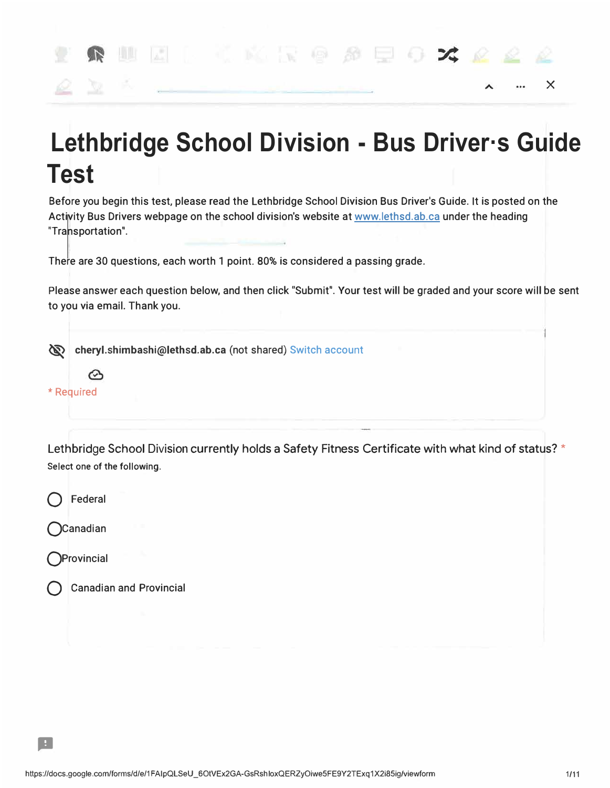

## **Lethbridge School Division - Bus Driver·s Guide Test**

**Before you begin this test, please read the Lethbridge School Division Bus Driver's Guide. It is posted on the Activity Bus Drivers webpage on the school division's website at www.lethsd.ab.ca under the heading "Transportation".** 

**There are 30 questions, each worth 1 point. 80% is considered a passing grade.** 

**Please answer each question below, and then click "Submit". Your test will be graded and your score will be sent to you via email. Thank you.** 

**� cheryl.shimbashi@lethsd.ab.ca (not shared) Switch account**



Lethbridge School Division currently holds a Safety Fitness Certificate with what kind of status? \* Select one of the following.



**QCanadian** 

**QProvincial** 

..

**Q Canadian and Provincial**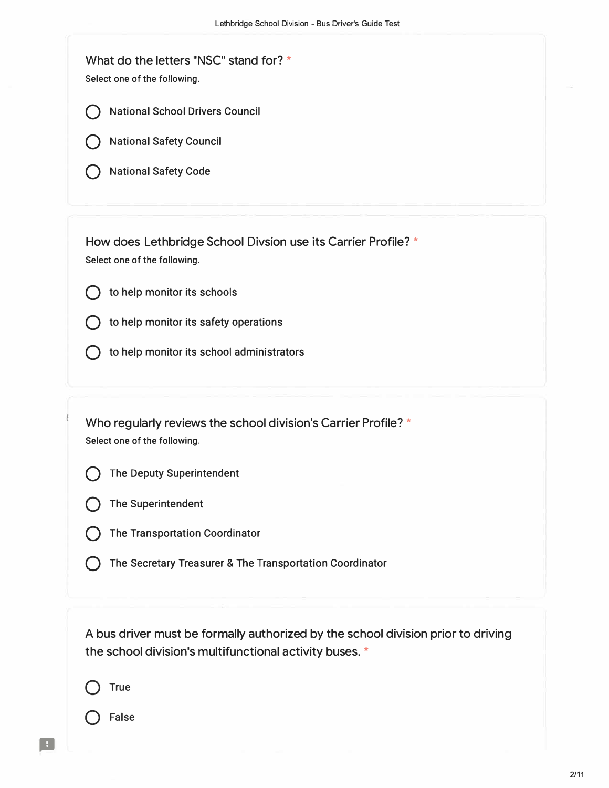What do the letters "NSC" stand for? \* Select one of the following.



**Q National Safety Council**

**Q National Safety Code**

How does Lethbridge School Divsion use its Carrier Profile? \* Select one of the following.



- **Q to help monitor its safety operations**
- **Q to help monitor its school administrators**

Who regularly reviews the school division's Carrier Profile? \* Select one of the following.



**The Deputy Superintendent** 



Q **The Transportation Coordinator**

Q **The Secretary Treasurer & The Transportation Coordinator**

A bus driver must be formally authorized by the school division prior to driving the school division's multifunctional activity buses. \*

Q **True**

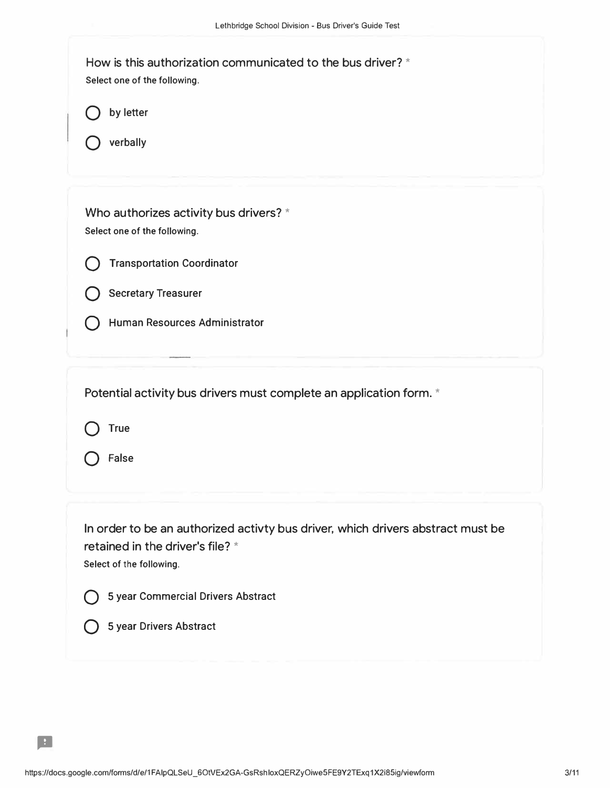| How is this authorization communicated to the bus driver? *<br>Select one of the following.<br>by letter<br>verbally                                                                                             |
|------------------------------------------------------------------------------------------------------------------------------------------------------------------------------------------------------------------|
| Who authorizes activity bus drivers? *<br>Select one of the following.<br><b>Transportation Coordinator</b><br><b>Secretary Treasurer</b><br>Human Resources Administrator                                       |
| Potential activity bus drivers must complete an application form. *<br><b>True</b><br>False                                                                                                                      |
| In order to be an authorized activty bus driver, which drivers abstract must be<br>retained in the driver's file? *<br>Select of the following.<br>5 year Commercial Drivers Abstract<br>5 year Drivers Abstract |

..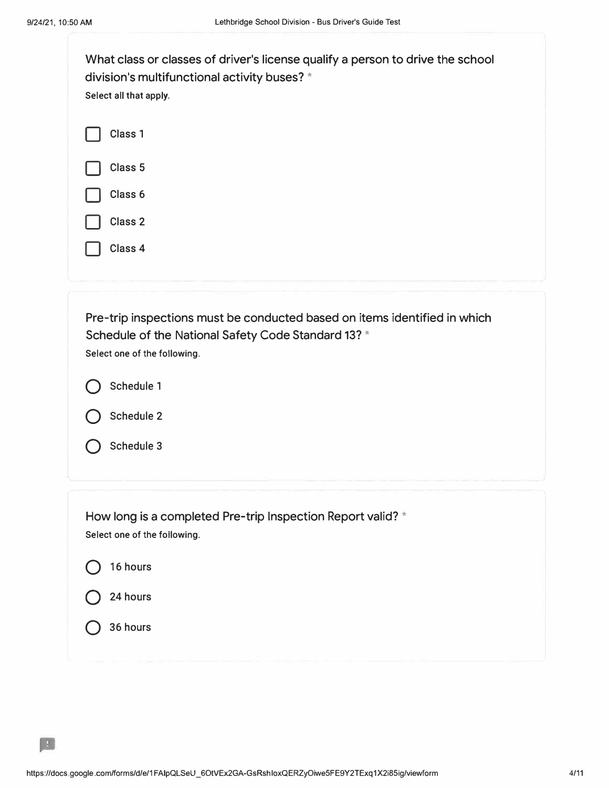| What class or classes of driver's license qualify a person to drive the school<br>division's multifunctional activity buses? *<br>Select all that apply.                                                   |  |  |  |
|------------------------------------------------------------------------------------------------------------------------------------------------------------------------------------------------------------|--|--|--|
| Class 1<br>Class <sub>5</sub><br>Class 6<br>Class 2<br>Class 4                                                                                                                                             |  |  |  |
| Pre-trip inspections must be conducted based on items identified in which<br>Schedule of the National Safety Code Standard 13? *<br>Select one of the following.<br>Schedule 1<br>Schedule 2<br>Schedule 3 |  |  |  |
| How long is a completed Pre-trip Inspection Report valid? *<br>Select one of the following.<br>16 hours<br>24 hours<br>36 hours                                                                            |  |  |  |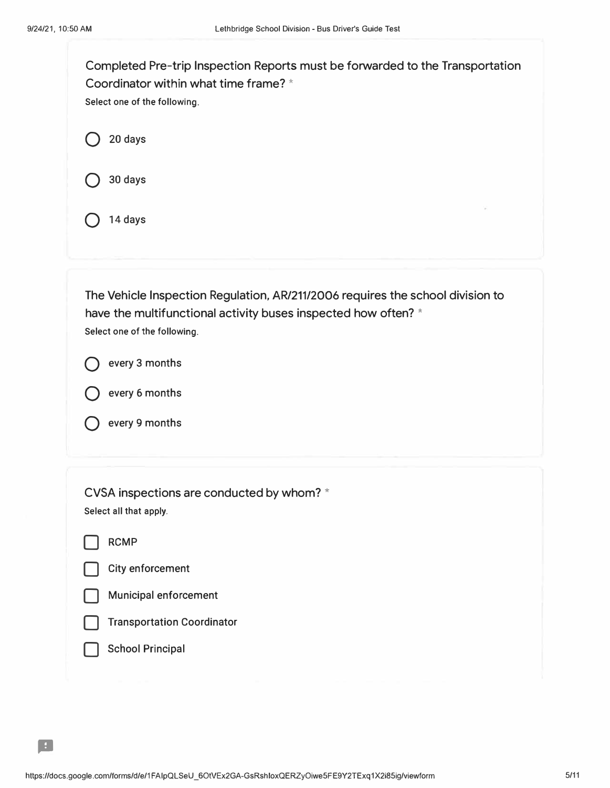| Completed Pre-trip Inspection Reports must be forwarded to the Transportation<br>Coordinator within what time frame? *<br>Select one of the following.                           |  |  |  |  |
|----------------------------------------------------------------------------------------------------------------------------------------------------------------------------------|--|--|--|--|
| 20 days                                                                                                                                                                          |  |  |  |  |
| 30 days                                                                                                                                                                          |  |  |  |  |
| 14 days                                                                                                                                                                          |  |  |  |  |
|                                                                                                                                                                                  |  |  |  |  |
| The Vehicle Inspection Regulation, AR/211/2006 requires the school division to<br>have the multifunctional activity buses inspected how often? *<br>Select one of the following. |  |  |  |  |
| every 3 months                                                                                                                                                                   |  |  |  |  |
| every 6 months                                                                                                                                                                   |  |  |  |  |
| every 9 months                                                                                                                                                                   |  |  |  |  |
| CVSA inspections are conducted by whom? *                                                                                                                                        |  |  |  |  |
| Select all that apply.                                                                                                                                                           |  |  |  |  |
| <b>RCMP</b>                                                                                                                                                                      |  |  |  |  |
| City enforcement                                                                                                                                                                 |  |  |  |  |
| Municipal enforcement                                                                                                                                                            |  |  |  |  |
| <b>Transportation Coordinator</b>                                                                                                                                                |  |  |  |  |
| <b>School Principal</b>                                                                                                                                                          |  |  |  |  |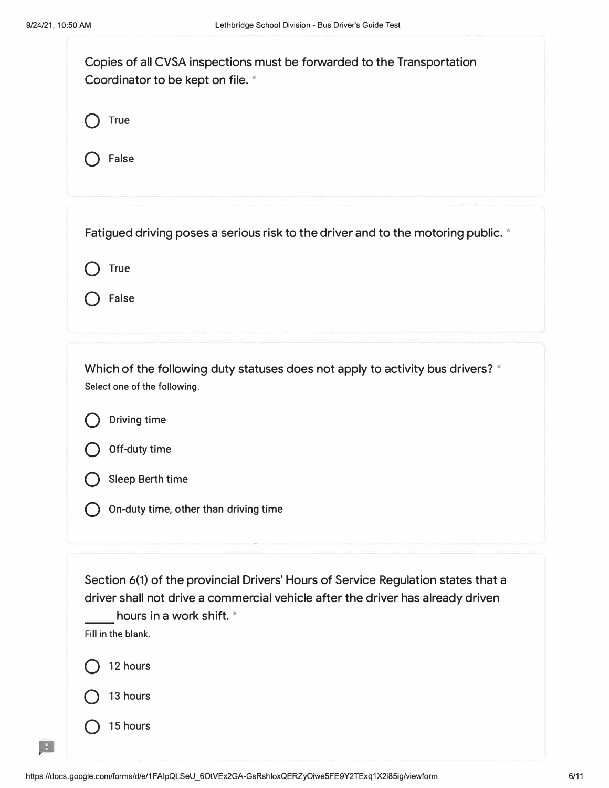| Copies of all CVSA inspections must be forwarded to the Transportation<br>Coordinator to be kept on file. *                                                                                                            |  |  |  |
|------------------------------------------------------------------------------------------------------------------------------------------------------------------------------------------------------------------------|--|--|--|
| <b>True</b>                                                                                                                                                                                                            |  |  |  |
| False                                                                                                                                                                                                                  |  |  |  |
| Fatigued driving poses a serious risk to the driver and to the motoring public. *                                                                                                                                      |  |  |  |
| <b>True</b>                                                                                                                                                                                                            |  |  |  |
| <b>False</b>                                                                                                                                                                                                           |  |  |  |
| Which of the following duty statuses does not apply to activity bus drivers? *<br>Select one of the following.                                                                                                         |  |  |  |
| Driving time                                                                                                                                                                                                           |  |  |  |
| Off-duty time                                                                                                                                                                                                          |  |  |  |
| Sleep Berth time                                                                                                                                                                                                       |  |  |  |
| On-duty time, other than driving time                                                                                                                                                                                  |  |  |  |
| Section 6(1) of the provincial Drivers' Hours of Service Regulation states that a<br>driver shall not drive a commercial vehicle after the driver has already driven<br>hours in a work shift. *<br>Fill in the blank. |  |  |  |
| 12 hours                                                                                                                                                                                                               |  |  |  |
| 13 hours                                                                                                                                                                                                               |  |  |  |
| 15 hours                                                                                                                                                                                                               |  |  |  |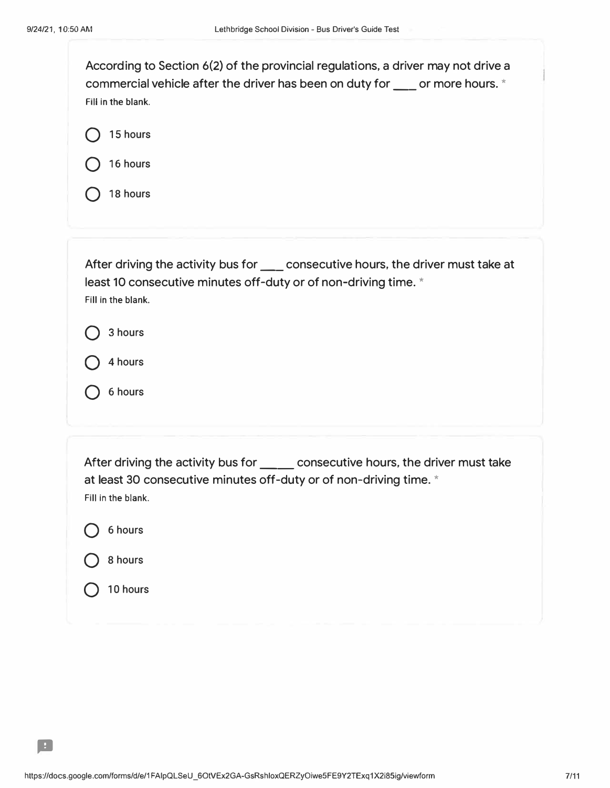$\boxed{\phantom{1}1}$ 

| According to Section 6(2) of the provincial regulations, a driver may not drive a<br>commercial vehicle after the driver has been on duty for ____ or more hours. *<br>Fill in the blank.                       |  |  |  |  |
|-----------------------------------------------------------------------------------------------------------------------------------------------------------------------------------------------------------------|--|--|--|--|
| 15 hours                                                                                                                                                                                                        |  |  |  |  |
| 16 hours                                                                                                                                                                                                        |  |  |  |  |
| 18 hours                                                                                                                                                                                                        |  |  |  |  |
| After driving the activity bus for ____ consecutive hours, the driver must take at<br>least 10 consecutive minutes off-duty or of non-driving time. *<br>Fill in the blank.<br>3 hours<br>4 hours<br>6 hours    |  |  |  |  |
| After driving the activity bus for ______ consecutive hours, the driver must take<br>at least 30 consecutive minutes off-duty or of non-driving time. *<br>Fill in the blank.<br>6 hours<br>8 hours<br>10 hours |  |  |  |  |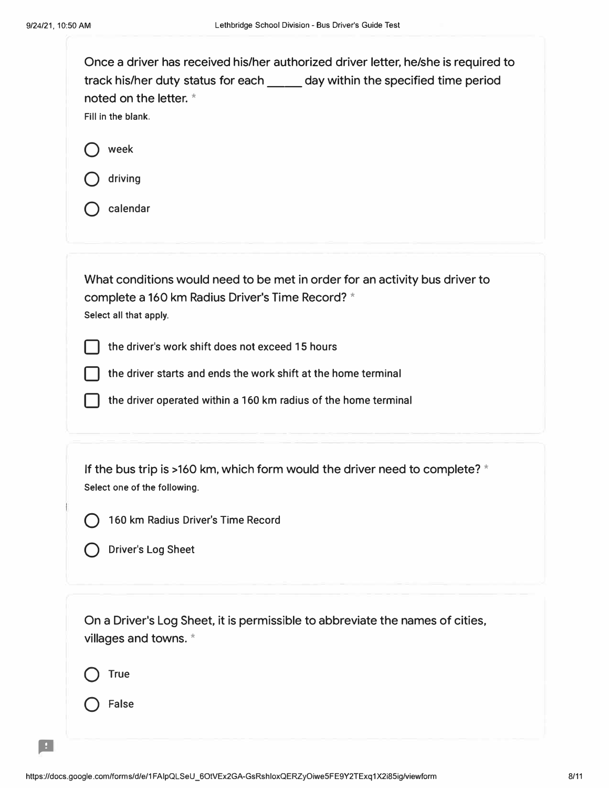| Once a driver has received his/her authorized driver letter, he/she is required to<br>track his/her duty status for each ______ day within the specified time period<br>noted on the letter. *<br>Fill in the blank.<br>week<br>driving |  |  |
|-----------------------------------------------------------------------------------------------------------------------------------------------------------------------------------------------------------------------------------------|--|--|
| calendar                                                                                                                                                                                                                                |  |  |
| What conditions would need to be met in order for an activity bus driver to<br>complete a 160 km Radius Driver's Time Record? *<br>Select all that apply.                                                                               |  |  |
| the driver's work shift does not exceed 15 hours                                                                                                                                                                                        |  |  |
| the driver starts and ends the work shift at the home terminal<br>the driver operated within a 160 km radius of the home terminal                                                                                                       |  |  |
|                                                                                                                                                                                                                                         |  |  |
| If the bus trip is >160 km, which form would the driver need to complete? $*$<br>Select one of the following.                                                                                                                           |  |  |
| 160 km Radius Driver's Time Record                                                                                                                                                                                                      |  |  |
| <b>Driver's Log Sheet</b>                                                                                                                                                                                                               |  |  |
| On a Driver's Log Sheet, it is permissible to abbreviate the names of cities,<br>villages and towns. *                                                                                                                                  |  |  |
| <b>True</b>                                                                                                                                                                                                                             |  |  |
| False                                                                                                                                                                                                                                   |  |  |
|                                                                                                                                                                                                                                         |  |  |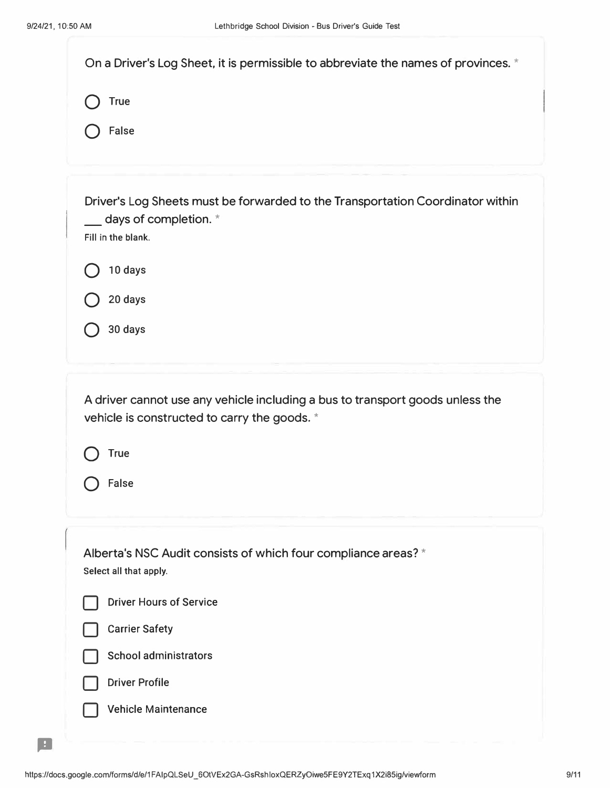| On a Driver's Log Sheet, it is permissible to abbreviate the names of provinces. *                                                             |
|------------------------------------------------------------------------------------------------------------------------------------------------|
| <b>True</b>                                                                                                                                    |
| <b>False</b>                                                                                                                                   |
| Driver's Log Sheets must be forwarded to the Transportation Coordinator within<br>$\_\_\_\$ days of completion. $^\star$<br>Fill in the blank. |
| 10 days                                                                                                                                        |
| 20 days                                                                                                                                        |
| 30 days                                                                                                                                        |
| <b>True</b><br>False                                                                                                                           |
| Alberta's NSC Audit consists of which four compliance areas? *<br>Select all that apply.                                                       |
| <b>Driver Hours of Service</b>                                                                                                                 |
| <b>Carrier Safety</b>                                                                                                                          |
| <b>School administrators</b>                                                                                                                   |
| <b>Driver Profile</b>                                                                                                                          |
| <b>Vehicle Maintenance</b>                                                                                                                     |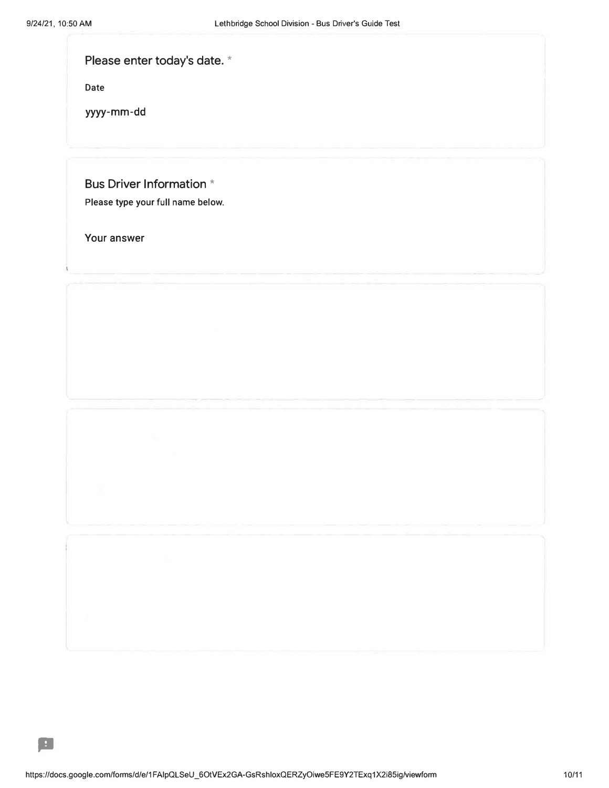| Please enter today's date. * |  |
|------------------------------|--|
|------------------------------|--|

**Date** 

yyyy-mm-dd

Bus Driver Information \*

**Please type your full name below.** 

Your answer